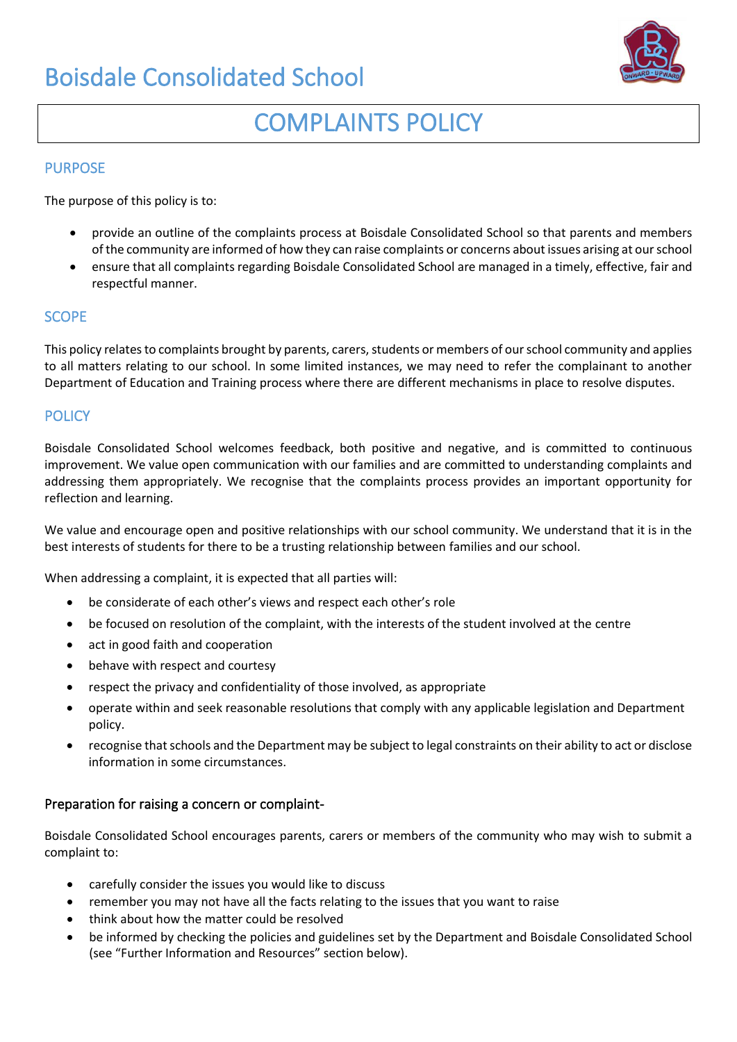## Boisdale Consolidated School



# COMPLAINTS POLICY

#### PURPOSE

The purpose of this policy is to:

- provide an outline of the complaints process at Boisdale Consolidated School so that parents and members of the community are informed of how they can raise complaints or concerns about issues arising at our school
- ensure that all complaints regarding Boisdale Consolidated School are managed in a timely, effective, fair and respectful manner.

#### **SCOPE**

This policy relates to complaints brought by parents, carers, students or members of our school community and applies to all matters relating to our school. In some limited instances, we may need to refer the complainant to another Department of Education and Training process where there are different mechanisms in place to resolve disputes.

### **POLICY**

Boisdale Consolidated School welcomes feedback, both positive and negative, and is committed to continuous improvement. We value open communication with our families and are committed to understanding complaints and addressing them appropriately. We recognise that the complaints process provides an important opportunity for reflection and learning.

We value and encourage open and positive relationships with our school community. We understand that it is in the best interests of students for there to be a trusting relationship between families and our school.

When addressing a complaint, it is expected that all parties will:

- be considerate of each other's views and respect each other's role
- be focused on resolution of the complaint, with the interests of the student involved at the centre
- act in good faith and cooperation
- behave with respect and courtesy
- respect the privacy and confidentiality of those involved, as appropriate
- operate within and seek reasonable resolutions that comply with any applicable legislation and Department policy.
- recognise that schools and the Department may be subject to legal constraints on their ability to act or disclose information in some circumstances.

#### Preparation for raising a concern or complaint-

Boisdale Consolidated School encourages parents, carers or members of the community who may wish to submit a complaint to:

- carefully consider the issues you would like to discuss
- remember you may not have all the facts relating to the issues that you want to raise
- think about how the matter could be resolved
- be informed by checking the policies and guidelines set by the Department and Boisdale Consolidated School (see "Further Information and Resources" section below).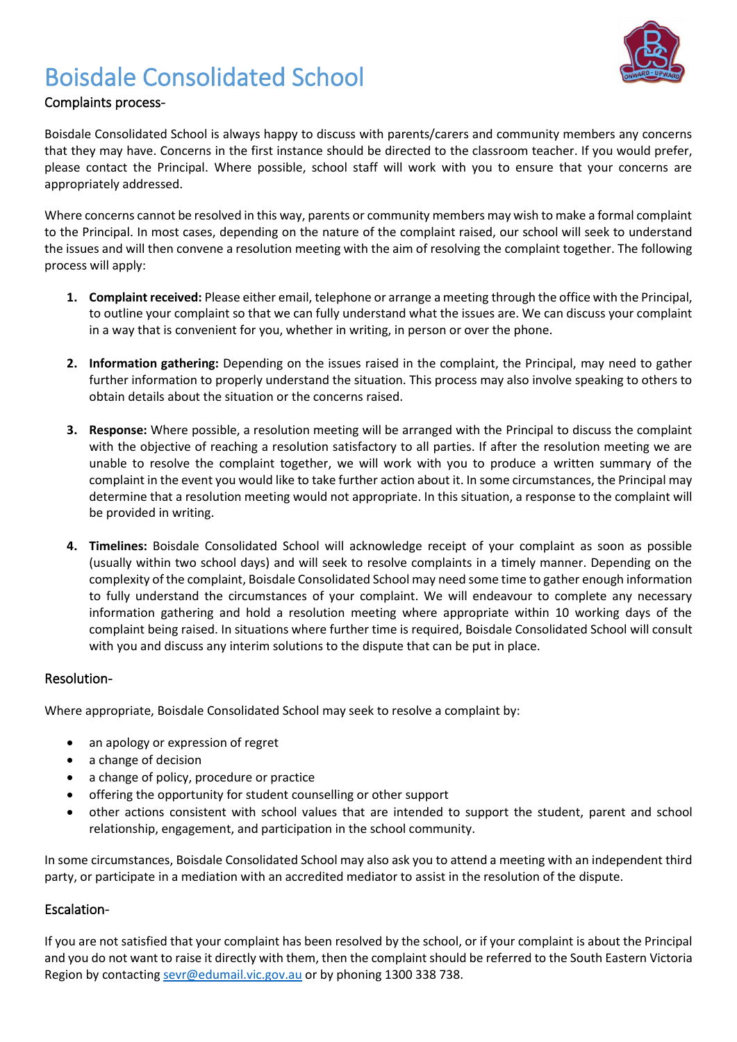## Boisdale Consolidated School



### Complaints process-

Boisdale Consolidated School is always happy to discuss with parents/carers and community members any concerns that they may have. Concerns in the first instance should be directed to the classroom teacher. If you would prefer, please contact the Principal. Where possible, school staff will work with you to ensure that your concerns are appropriately addressed.

Where concerns cannot be resolved in this way, parents or community members may wish to make a formal complaint to the Principal. In most cases, depending on the nature of the complaint raised, our school will seek to understand the issues and will then convene a resolution meeting with the aim of resolving the complaint together. The following process will apply:

- **1. Complaint received:** Please either email, telephone or arrange a meeting through the office with the Principal, to outline your complaint so that we can fully understand what the issues are. We can discuss your complaint in a way that is convenient for you, whether in writing, in person or over the phone.
- **2. Information gathering:** Depending on the issues raised in the complaint, the Principal, may need to gather further information to properly understand the situation. This process may also involve speaking to others to obtain details about the situation or the concerns raised.
- **3. Response:** Where possible, a resolution meeting will be arranged with the Principal to discuss the complaint with the objective of reaching a resolution satisfactory to all parties. If after the resolution meeting we are unable to resolve the complaint together, we will work with you to produce a written summary of the complaint in the event you would like to take further action about it. In some circumstances, the Principal may determine that a resolution meeting would not appropriate. In this situation, a response to the complaint will be provided in writing.
- **4. Timelines:** Boisdale Consolidated School will acknowledge receipt of your complaint as soon as possible (usually within two school days) and will seek to resolve complaints in a timely manner. Depending on the complexity of the complaint, Boisdale Consolidated School may need some time to gather enough information to fully understand the circumstances of your complaint. We will endeavour to complete any necessary information gathering and hold a resolution meeting where appropriate within 10 working days of the complaint being raised. In situations where further time is required, Boisdale Consolidated School will consult with you and discuss any interim solutions to the dispute that can be put in place.

#### Resolution-

Where appropriate, Boisdale Consolidated School may seek to resolve a complaint by:

- an apology or expression of regret
- a change of decision
- a change of policy, procedure or practice
- offering the opportunity for student counselling or other support
- other actions consistent with school values that are intended to support the student, parent and school relationship, engagement, and participation in the school community.

In some circumstances, Boisdale Consolidated School may also ask you to attend a meeting with an independent third party, or participate in a mediation with an accredited mediator to assist in the resolution of the dispute.

### Escalation-

If you are not satisfied that your complaint has been resolved by the school, or if your complaint is about the Principal and you do not want to raise it directly with them, then the complaint should be referred to the South Eastern Victoria Region by contacting [sevr@edumail.vic.gov.au](mailto:sevr@edumail.vic.gov.au) or by phoning 1300 338 738.